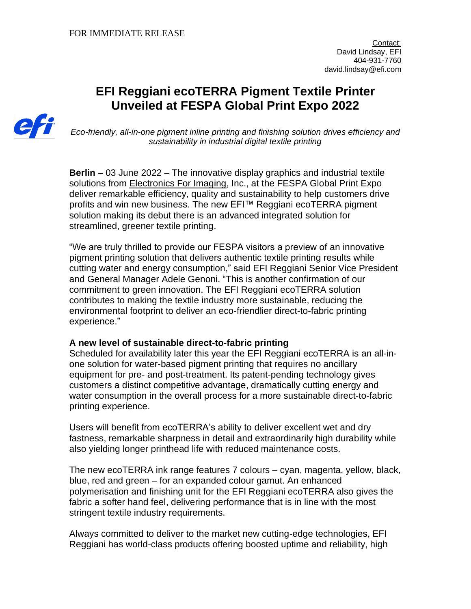# **EFI Reggiani ecoTERRA Pigment Textile Printer Unveiled at FESPA Global Print Expo 2022**



*Eco-friendly, all-in-one pigment inline printing and finishing solution drives efficiency and sustainability in industrial digital textile printing*

**Berlin** – 03 June 2022 – The innovative display graphics and industrial textile solutions from [Electronics For Imaging,](http://www.efi.com/) Inc., at the FESPA Global Print Expo deliver remarkable efficiency, quality and sustainability to help customers drive profits and win new business. The new EFI™ Reggiani ecoTERRA pigment solution making its debut there is an advanced integrated solution for streamlined, greener textile printing.

"We are truly thrilled to provide our FESPA visitors a preview of an innovative pigment printing solution that delivers authentic textile printing results while cutting water and energy consumption," said EFI Reggiani Senior Vice President and General Manager Adele Genoni. "This is another confirmation of our commitment to green innovation. The EFI Reggiani ecoTERRA solution contributes to making the textile industry more sustainable, reducing the environmental footprint to deliver an eco-friendlier direct-to-fabric printing experience."

## **A new level of sustainable direct-to-fabric printing**

Scheduled for availability later this year the EFI Reggiani ecoTERRA is an all-inone solution for water-based pigment printing that requires no ancillary equipment for pre- and post-treatment. Its patent-pending technology gives customers a distinct competitive advantage, dramatically cutting energy and water consumption in the overall process for a more sustainable direct-to-fabric printing experience.

Users will benefit from ecoTERRA's ability to deliver excellent wet and dry fastness, remarkable sharpness in detail and extraordinarily high durability while also yielding longer printhead life with reduced maintenance costs.

The new ecoTERRA ink range features 7 colours – cyan, magenta, yellow, black, blue, red and green – for an expanded colour gamut. An enhanced polymerisation and finishing unit for the EFI Reggiani ecoTERRA also gives the fabric a softer hand feel, delivering performance that is in line with the most stringent textile industry requirements.

Always committed to deliver to the market new cutting-edge technologies, EFI Reggiani has world-class products offering boosted uptime and reliability, high